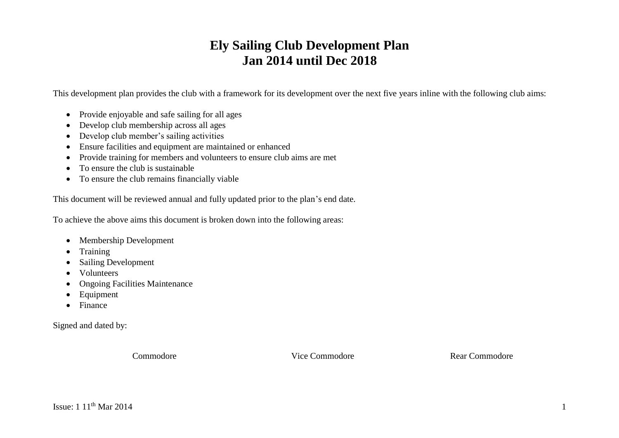# **Ely Sailing Club Development Plan Jan 2014 until Dec 2018**

This development plan provides the club with a framework for its development over the next five years inline with the following club aims:

- Provide enjoyable and safe sailing for all ages
- Develop club membership across all ages
- Develop club member's sailing activities
- Ensure facilities and equipment are maintained or enhanced
- Provide training for members and volunteers to ensure club aims are met
- To ensure the club is sustainable
- To ensure the club remains financially viable

This document will be reviewed annual and fully updated prior to the plan's end date.

To achieve the above aims this document is broken down into the following areas:

- Membership Development
- Training
- Sailing Development
- Volunteers
- Ongoing Facilities Maintenance
- Equipment
- Finance

Signed and dated by:

Commodore Vice Commodore Rear Commodore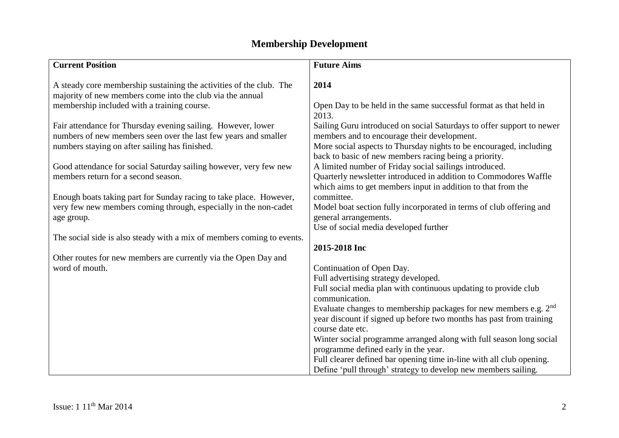# **Membership Development**

| <b>Current Position</b>                                                | <b>Future Aims</b>                                                           |
|------------------------------------------------------------------------|------------------------------------------------------------------------------|
|                                                                        |                                                                              |
| A steady core membership sustaining the activities of the club. The    | 2014                                                                         |
| majority of new members come into the club via the annual              |                                                                              |
| membership included with a training course.                            | Open Day to be held in the same successful format as that held in            |
|                                                                        | 2013.                                                                        |
| Fair attendance for Thursday evening sailing. However, lower           | Sailing Guru introduced on social Saturdays to offer support to newer        |
| numbers of new members seen over the last few years and smaller        | members and to encourage their development.                                  |
| numbers staying on after sailing has finished.                         | More social aspects to Thursday nights to be encouraged, including           |
|                                                                        | back to basic of new members racing being a priority.                        |
| Good attendance for social Saturday sailing however, very few new      | A limited number of Friday social sailings introduced.                       |
| members return for a second season.                                    | Quarterly newsletter introduced in addition to Commodores Waffle             |
|                                                                        | which aims to get members input in addition to that from the                 |
| Enough boats taking part for Sunday racing to take place. However,     | committee.                                                                   |
| very few new members coming through, especially in the non-cadet       | Model boat section fully incorporated in terms of club offering and          |
| age group.                                                             | general arrangements.                                                        |
|                                                                        | Use of social media developed further                                        |
| The social side is also steady with a mix of members coming to events. |                                                                              |
|                                                                        | 2015-2018 Inc                                                                |
| Other routes for new members are currently via the Open Day and        |                                                                              |
| word of mouth.                                                         | Continuation of Open Day.                                                    |
|                                                                        | Full advertising strategy developed.                                         |
|                                                                        | Full social media plan with continuous updating to provide club              |
|                                                                        | communication.                                                               |
|                                                                        | Evaluate changes to membership packages for new members e.g. 2 <sup>nd</sup> |
|                                                                        | year discount if signed up before two months has past from training          |
|                                                                        | course date etc.                                                             |
|                                                                        | Winter social programme arranged along with full season long social          |
|                                                                        | programme defined early in the year.                                         |
|                                                                        | Full clearer defined bar opening time in-line with all club opening.         |
|                                                                        | Define 'pull through' strategy to develop new members sailing.               |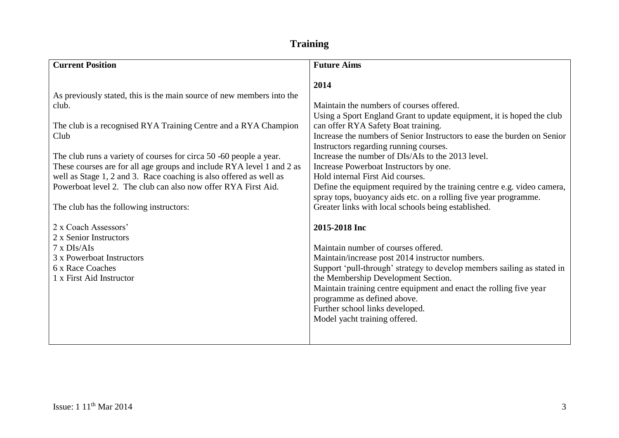### **Training**

| <b>Current Position</b>                                                                                                                                                                                                                                                                                                                                                                                                                                                                    | <b>Future Aims</b>                                                                                                                                                                                                                                                                                                                                                                                                                                                                                                                                                                                                             |
|--------------------------------------------------------------------------------------------------------------------------------------------------------------------------------------------------------------------------------------------------------------------------------------------------------------------------------------------------------------------------------------------------------------------------------------------------------------------------------------------|--------------------------------------------------------------------------------------------------------------------------------------------------------------------------------------------------------------------------------------------------------------------------------------------------------------------------------------------------------------------------------------------------------------------------------------------------------------------------------------------------------------------------------------------------------------------------------------------------------------------------------|
| As previously stated, this is the main source of new members into the<br>club.<br>The club is a recognised RYA Training Centre and a RYA Champion<br>Club<br>The club runs a variety of courses for circa 50 -60 people a year.<br>These courses are for all age groups and include RYA level 1 and 2 as<br>well as Stage 1, 2 and 3. Race coaching is also offered as well as<br>Powerboat level 2. The club can also now offer RYA First Aid.<br>The club has the following instructors: | 2014<br>Maintain the numbers of courses offered.<br>Using a Sport England Grant to update equipment, it is hoped the club<br>can offer RYA Safety Boat training.<br>Increase the numbers of Senior Instructors to ease the burden on Senior<br>Instructors regarding running courses.<br>Increase the number of DIs/AIs to the 2013 level.<br>Increase Powerboat Instructors by one.<br>Hold internal First Aid courses.<br>Define the equipment required by the training centre e.g. video camera,<br>spray tops, buoyancy aids etc. on a rolling five year programme.<br>Greater links with local schools being established. |
| 2 x Coach Assessors'<br>2 x Senior Instructors<br>$7 \times DIS/Als$<br>3 x Powerboat Instructors<br>6 x Race Coaches<br>1 x First Aid Instructor                                                                                                                                                                                                                                                                                                                                          | 2015-2018 Inc<br>Maintain number of courses offered.<br>Maintain/increase post 2014 instructor numbers.<br>Support 'pull-through' strategy to develop members sailing as stated in<br>the Membership Development Section.<br>Maintain training centre equipment and enact the rolling five year<br>programme as defined above.<br>Further school links developed.<br>Model yacht training offered.                                                                                                                                                                                                                             |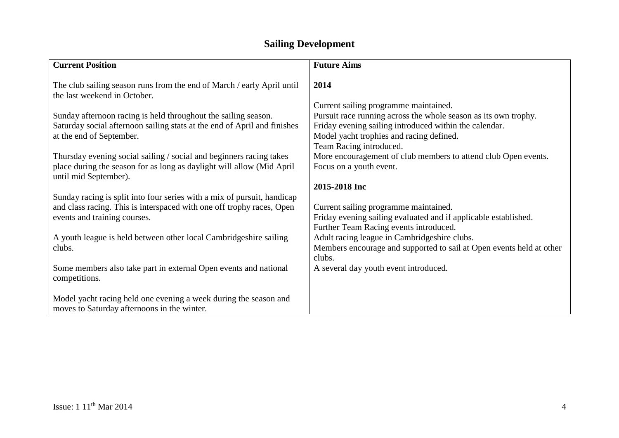## **Sailing Development**

| <b>Current Position</b>                                                                                                                                                          | <b>Future Aims</b>                                                                                                                                                                                             |
|----------------------------------------------------------------------------------------------------------------------------------------------------------------------------------|----------------------------------------------------------------------------------------------------------------------------------------------------------------------------------------------------------------|
| The club sailing season runs from the end of March / early April until<br>the last weekend in October.                                                                           | 2014                                                                                                                                                                                                           |
| Sunday afternoon racing is held throughout the sailing season.<br>Saturday social afternoon sailing stats at the end of April and finishes<br>at the end of September.           | Current sailing programme maintained.<br>Pursuit race running across the whole season as its own trophy.<br>Friday evening sailing introduced within the calendar.<br>Model yacht trophies and racing defined. |
| Thursday evening social sailing / social and beginners racing takes<br>place during the season for as long as daylight will allow (Mid April<br>until mid September).            | Team Racing introduced.<br>More encouragement of club members to attend club Open events.<br>Focus on a youth event.                                                                                           |
| Sunday racing is split into four series with a mix of pursuit, handicap<br>and class racing. This is interspaced with one off trophy races, Open<br>events and training courses. | 2015-2018 Inc<br>Current sailing programme maintained.<br>Friday evening sailing evaluated and if applicable established.                                                                                      |
| A youth league is held between other local Cambridgeshire sailing<br>clubs.                                                                                                      | Further Team Racing events introduced.<br>Adult racing league in Cambridgeshire clubs.<br>Members encourage and supported to sail at Open events held at other<br>clubs.                                       |
| Some members also take part in external Open events and national<br>competitions.                                                                                                | A several day youth event introduced.                                                                                                                                                                          |
| Model yacht racing held one evening a week during the season and<br>moves to Saturday afternoons in the winter.                                                                  |                                                                                                                                                                                                                |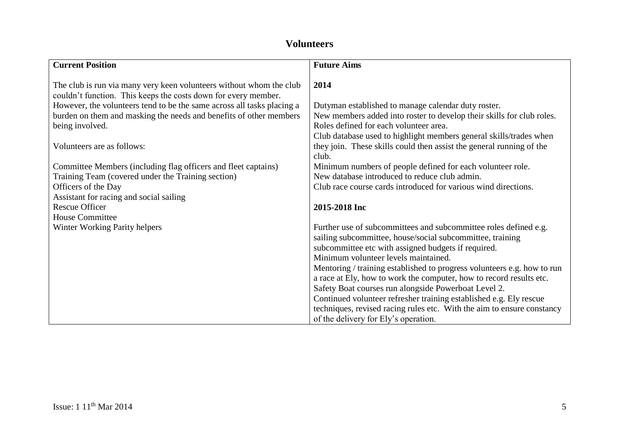#### **Volunteers**

| <b>Current Position</b>                                                                                                               | <b>Future Aims</b>                                                      |
|---------------------------------------------------------------------------------------------------------------------------------------|-------------------------------------------------------------------------|
| The club is run via many very keen volunteers without whom the club<br>couldn't function. This keeps the costs down for every member. | 2014                                                                    |
| However, the volunteers tend to be the same across all tasks placing a                                                                | Dutyman established to manage calendar duty roster.                     |
| burden on them and masking the needs and benefits of other members                                                                    | New members added into roster to develop their skills for club roles.   |
| being involved.                                                                                                                       | Roles defined for each volunteer area.                                  |
|                                                                                                                                       | Club database used to highlight members general skills/trades when      |
| Volunteers are as follows:                                                                                                            | they join. These skills could then assist the general running of the    |
|                                                                                                                                       | club.                                                                   |
| Committee Members (including flag officers and fleet captains)                                                                        | Minimum numbers of people defined for each volunteer role.              |
| Training Team (covered under the Training section)                                                                                    | New database introduced to reduce club admin.                           |
| Officers of the Day                                                                                                                   | Club race course cards introduced for various wind directions.          |
| Assistant for racing and social sailing                                                                                               |                                                                         |
| <b>Rescue Officer</b>                                                                                                                 | 2015-2018 Inc                                                           |
| <b>House Committee</b>                                                                                                                |                                                                         |
| Winter Working Parity helpers                                                                                                         | Further use of subcommittees and subcommittee roles defined e.g.        |
|                                                                                                                                       | sailing subcommittee, house/social subcommittee, training               |
|                                                                                                                                       | subcommittee etc with assigned budgets if required.                     |
|                                                                                                                                       | Minimum volunteer levels maintained.                                    |
|                                                                                                                                       | Mentoring / training established to progress volunteers e.g. how to run |
|                                                                                                                                       | a race at Ely, how to work the computer, how to record results etc.     |
|                                                                                                                                       | Safety Boat courses run alongside Powerboat Level 2.                    |
|                                                                                                                                       | Continued volunteer refresher training established e.g. Ely rescue      |
|                                                                                                                                       | techniques, revised racing rules etc. With the aim to ensure constancy  |
|                                                                                                                                       | of the delivery for Ely's operation.                                    |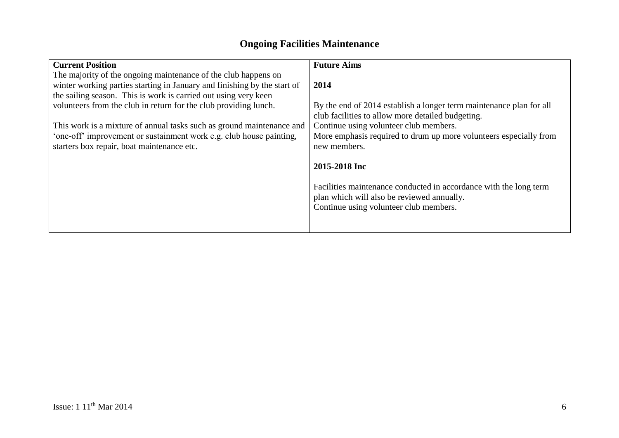### **Ongoing Facilities Maintenance**

| <b>Current Position</b>                                                  | <b>Future Aims</b>                                                  |
|--------------------------------------------------------------------------|---------------------------------------------------------------------|
| The majority of the ongoing maintenance of the club happens on           |                                                                     |
| winter working parties starting in January and finishing by the start of | 2014                                                                |
| the sailing season. This is work is carried out using very keen          |                                                                     |
| volunteers from the club in return for the club providing lunch.         | By the end of 2014 establish a longer term maintenance plan for all |
|                                                                          | club facilities to allow more detailed budgeting.                   |
| This work is a mixture of annual tasks such as ground maintenance and    | Continue using volunteer club members.                              |
| 'one-off' improvement or sustainment work e.g. club house painting,      | More emphasis required to drum up more volunteers especially from   |
| starters box repair, boat maintenance etc.                               | new members.                                                        |
|                                                                          |                                                                     |
|                                                                          | 2015-2018 Inc                                                       |
|                                                                          |                                                                     |
|                                                                          | Facilities maintenance conducted in accordance with the long term   |
|                                                                          | plan which will also be reviewed annually.                          |
|                                                                          | Continue using volunteer club members.                              |
|                                                                          |                                                                     |
|                                                                          |                                                                     |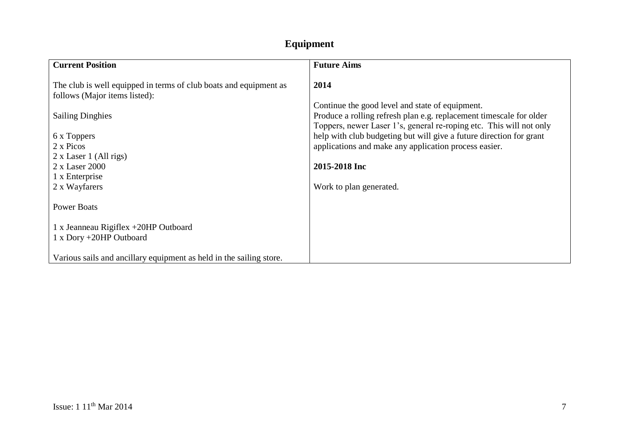## **Equipment**

| <b>Current Position</b>                                                                                                                                      | <b>Future Aims</b>                                                                                                                                                                                                                              |
|--------------------------------------------------------------------------------------------------------------------------------------------------------------|-------------------------------------------------------------------------------------------------------------------------------------------------------------------------------------------------------------------------------------------------|
| The club is well equipped in terms of club boats and equipment as<br>follows (Major items listed):<br><b>Sailing Dinghies</b>                                | 2014<br>Continue the good level and state of equipment.<br>Produce a rolling refresh plan e.g. replacement timescale for older                                                                                                                  |
| 6 x Toppers<br>2 x Picos<br>$2 \times$ Laser 1 (All rigs)<br>2 x Laser 2000<br>1 x Enterprise<br>2 x Wayfarers                                               | Toppers, newer Laser 1's, general re-roping etc. This will not only<br>help with club budgeting but will give a future direction for grant<br>applications and make any application process easier.<br>2015-2018 Inc<br>Work to plan generated. |
| <b>Power Boats</b><br>1 x Jeanneau Rigiflex +20HP Outboard<br>1 x Dory +20HP Outboard<br>Various sails and ancillary equipment as held in the sailing store. |                                                                                                                                                                                                                                                 |